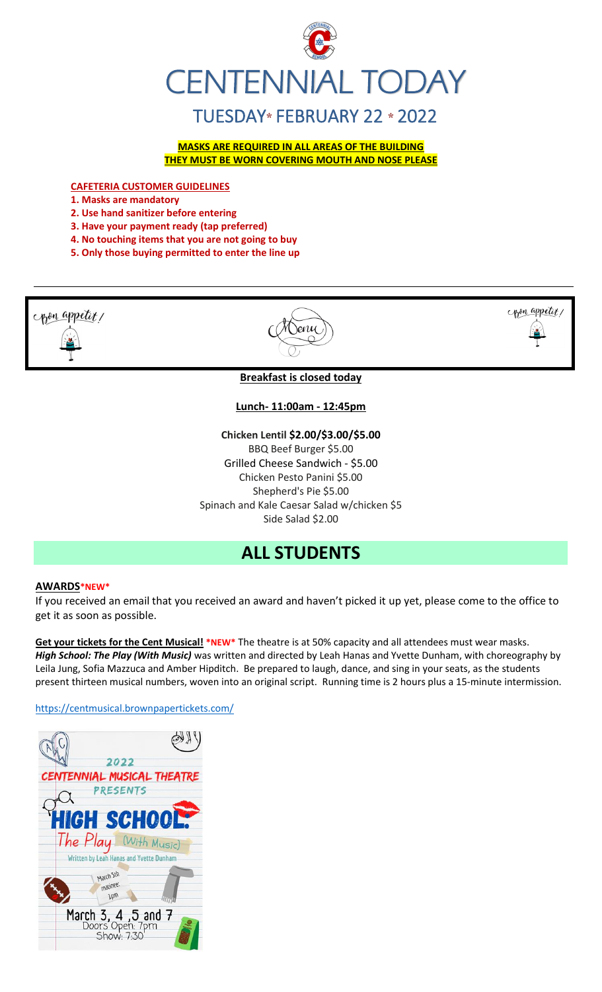

**MASKS ARE REQUIRED IN ALL AREAS OF THE BUILDING THEY MUST BE WORN COVERING MOUTH AND NOSE PLEASE**

**CAFETERIA CUSTOMER GUIDELINES**

**1. Masks are mandatory**

- **2. Use hand sanitizer before entering**
- **3. Have your payment ready (tap preferred)**
- **4. No touching items that you are not going to buy**
- **5. Only those buying permitted to enter the line up**

pon appetit!





**Breakfast is closed today**

#### **Lunch- 11:00am - 12:45pm**

**Chicken Lentil \$2.00/\$3.00/\$5.00** BBQ Beef Burger \$5.00 Grilled Cheese Sandwich - \$5.00 Chicken Pesto Panini \$5.00 Shepherd's Pie \$5.00 Spinach and Kale Caesar Salad w/chicken \$5 Side Salad \$2.00

## **ALL STUDENTS**

#### **AWARDS\*NEW\***

If you received an email that you received an award and haven't picked it up yet, please come to the office to get it as soon as possible.

**Get your tickets for the Cent Musical! \*NEW\*** The theatre is at 50% capacity and all attendees must wear masks. *High School: The Play (With Music)* was written and directed by Leah Hanas and Yvette Dunham, with choreography by Leila Jung, Sofia Mazzuca and Amber Hipditch. Be prepared to laugh, dance, and sing in your seats, as the students present thirteen musical numbers, woven into an original script. Running time is 2 hours plus a 15-minute intermission.

<https://centmusical.brownpapertickets.com/>

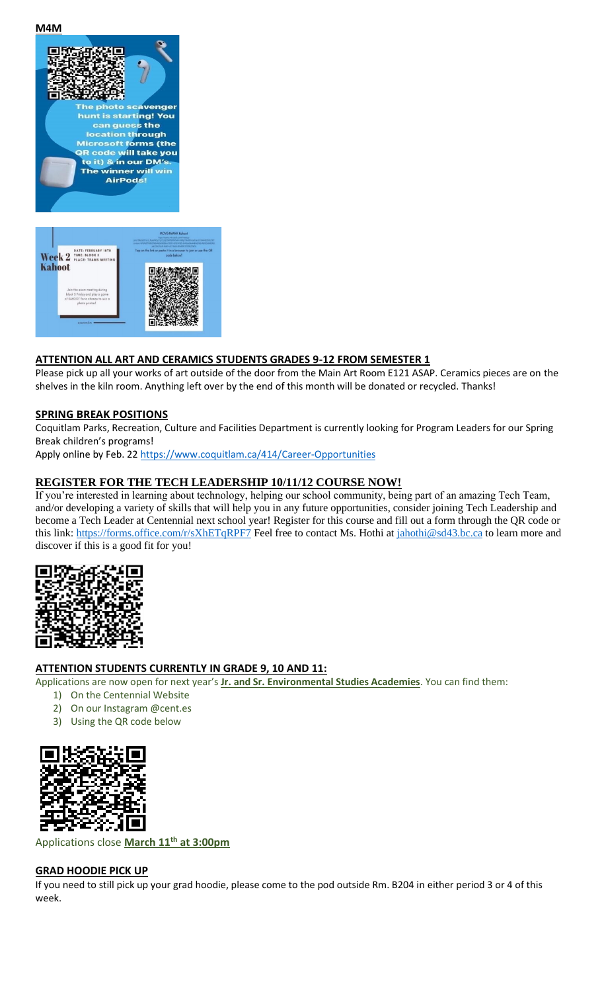**M4M**



#### **ATTENTION ALL ART AND CERAMICS STUDENTS GRADES 9-12 FROM SEMESTER 1**

Please pick up all your works of art outside of the door from the Main Art Room E121 ASAP. Ceramics pieces are on the shelves in the kiln room. Anything left over by the end of this month will be donated or recycled. Thanks!

#### **SPRING BREAK POSITIONS**

Coquitlam Parks, Recreation, Culture and Facilities Department is currently looking for Program Leaders for our Spring Break children's programs!

Apply online by Feb. 2[2 https://www.coquitlam.ca/414/Career-Opportunities](https://www.coquitlam.ca/414/Career-Opportunities)

#### **REGISTER FOR THE TECH LEADERSHIP 10/11/12 COURSE NOW!**

If you're interested in learning about technology, helping our school community, being part of an amazing Tech Team, and/or developing a variety of skills that will help you in any future opportunities, consider joining Tech Leadership and become a Tech Leader at Centennial next school year! Register for this course and fill out a form through the QR code or this link:<https://forms.office.com/r/sXhETqRPF7> Feel free to contact Ms. Hothi at [jahothi@sd43.bc.ca](mailto:jahothi@sd43.bc.ca) to learn more and discover if this is a good fit for you!



#### **ATTENTION STUDENTS CURRENTLY IN GRADE 9, 10 AND 11:**

Applications are now open for next year's **Jr. and Sr. Environmental Studies Academies**. You can find them:

- 1) On the Centennial Website
- 2) On our Instagram @cent.es
- 3) Using the QR code below



Applications close **March 11th at 3:00pm**

#### **GRAD HOODIE PICK UP**

If you need to still pick up your grad hoodie, please come to the pod outside Rm. B204 in either period 3 or 4 of this week.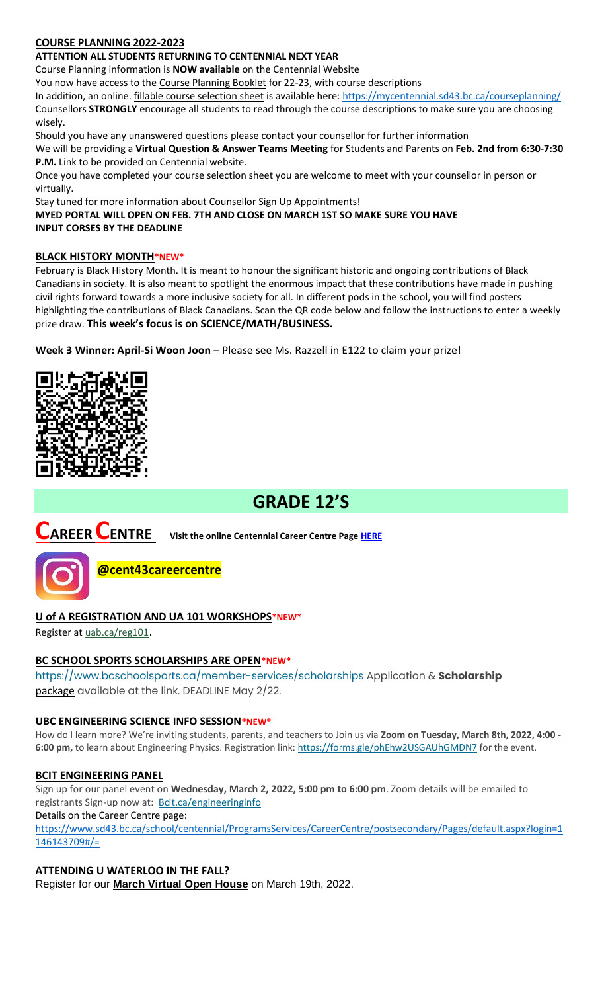#### **COURSE PLANNING 2022-2023**

#### **ATTENTION ALL STUDENTS RETURNING TO CENTENNIAL NEXT YEAR**

Course Planning information is **NOW available** on the Centennial Website

You now have access to the Course Planning Booklet for 22-23, with course descriptions

In addition, an online. fillable course selection sheet is available here:<https://mycentennial.sd43.bc.ca/courseplanning/> Counsellors **STRONGLY** encourage all students to read through the course descriptions to make sure you are choosing wisely.

Should you have any unanswered questions please contact your counsellor for further information

We will be providing a **Virtual Question & Answer Teams Meeting** for Students and Parents on **Feb. 2nd from 6:30-7:30 P.M.** Link to be provided on Centennial website.

Once you have completed your course selection sheet you are welcome to meet with your counsellor in person or virtually.

Stay tuned for more information about Counsellor Sign Up Appointments!

**MYED PORTAL WILL OPEN ON FEB. 7TH AND CLOSE ON MARCH 1ST SO MAKE SURE YOU HAVE INPUT CORSES BY THE DEADLINE** 

#### **BLACK HISTORY MONTH\*NEW\***

February is Black History Month. It is meant to honour the significant historic and ongoing contributions of Black Canadians in society. It is also meant to spotlight the enormous impact that these contributions have made in pushing civil rights forward towards a more inclusive society for all. In different pods in the school, you will find posters highlighting the contributions of Black Canadians. Scan the QR code below and follow the instructions to enter a weekly prize draw. **This week's focus is on SCIENCE/MATH/BUSINESS.**

**Week 3 Winner: April-Si Woon Joon** – Please see Ms. Razzell in E122 to claim your prize!



# **GRADE 12'S**

# **CAREER CENTRE Visit the online Centennial Career Centre Page [HERE](https://www.sd43.bc.ca/school/centennial/ProgramsServices/CareerCentre/experiences/Pages/default.aspx#/=)**



**@cent43careercentre** 

#### **U of A REGISTRATION AND UA 101 WORKSHOPS\*NEW\***

Register at [uab.ca/reg101](https://mx.technolutions.net/ss/c/gsby7xed_Q9kJKoUKuDGdBFBFhSssENYnEfiUuIzPCfFN0X3A85kPAIgyq7RiYgwxLMjfjPrT5ubbLquOrRDxK72JMmEaemjtQ-x5F7JbqKIaR1RAtLsCh34w4gSRWxqfNkRX2_wjYVF_seczQFJmagZUh9OQeP0xNj-Hixx2Sg3JnHBPhydC8HcexOScs8YVD4ugtQ2fJtOUHpTerlnqw/3js/owb9Bwa2RtmSXdZ4fDFQKQ/h1/Vunb3WZeMjEwcwwYR3Ln_R-AscdiWy-_XZk-TunPKCY).

#### **BC SCHOOL SPORTS SCHOLARSHIPS ARE OPEN\*NEW\***

<https://www.bcschoolsports.ca/member-services/scholarships> Application & **Scholarship**  package available at the link. DEADLINE May 2/22.

#### **UBC ENGINEERING SCIENCE INFO SESSION\*NEW\***

How do I learn more? We're inviting students, parents, and teachers to Join us via **Zoom on Tuesday, March 8th, 2022, 4:00 - 6:00 pm,** to learn about Engineering Physics. Registration link: <https://forms.gle/phEhw2USGAUhGMDN7> for the event.

#### **BCIT ENGINEERING PANEL**

Sign up for our panel event on **Wednesday, March 2, 2022, 5:00 pm to 6:00 pm**. Zoom details will be emailed to registrants Sign-up now at: [Bcit.ca/engineeringinfo](https://www.bcit.ca/event/engineering-panel-online-information-session/)

Details on the Career Centre page:

[https://www.sd43.bc.ca/school/centennial/ProgramsServices/CareerCentre/postsecondary/Pages/default.aspx?login=1](https://www.sd43.bc.ca/school/centennial/ProgramsServices/CareerCentre/postsecondary/Pages/default.aspx?login=1146143709#/=) [146143709#/=](https://www.sd43.bc.ca/school/centennial/ProgramsServices/CareerCentre/postsecondary/Pages/default.aspx?login=1146143709#/=)

**ATTENDING U WATERLOO IN THE FALL?**

Register for our **[March Virtual Open House](https://uwaterloo.us3.list-manage.com/track/click?u=a81bb5075c90cdf7258cb7029&id=a88e5ad2bb&e=c0c4fc71cc)** on March 19th, 2022.